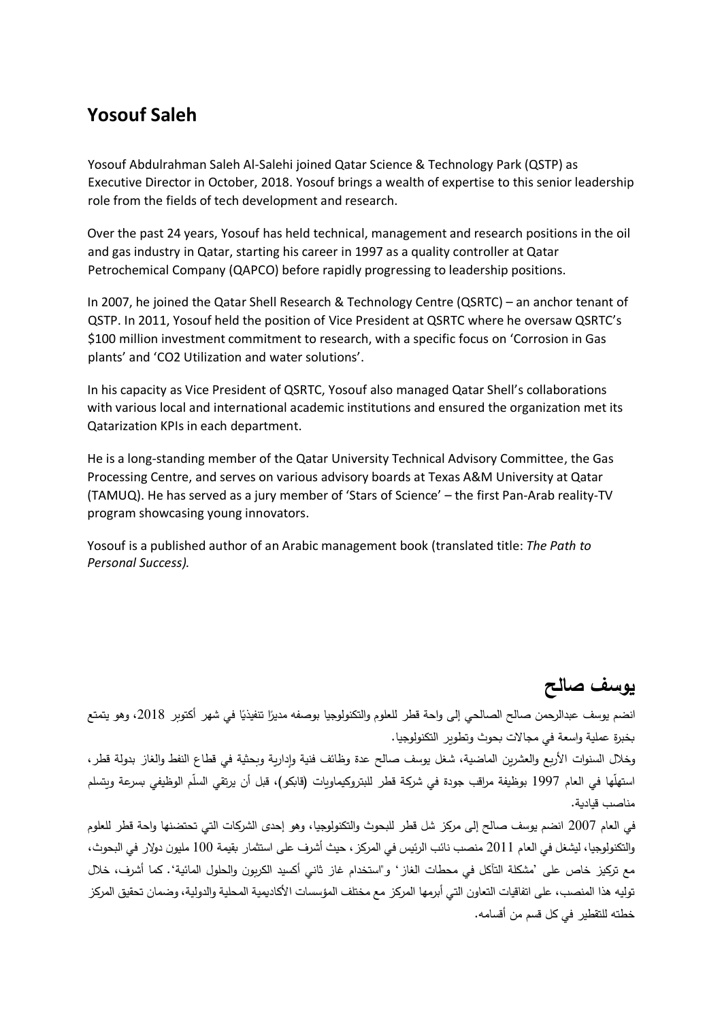## **Yosouf Saleh**

Yosouf Abdulrahman Saleh Al-Salehi joined Qatar Science & Technology Park (QSTP) as Executive Director in October, 2018. Yosouf brings a wealth of expertise to this senior leadership role from the fields of tech development and research.

Over the past 24 years, Yosouf has held technical, management and research positions in the oil and gas industry in Qatar, starting his career in 1997 as a quality controller at Qatar Petrochemical Company (QAPCO) before rapidly progressing to leadership positions.

In 2007, he joined the Qatar Shell Research & Technology Centre (QSRTC) – an anchor tenant of QSTP. In 2011, Yosouf held the position of Vice President at QSRTC where he oversaw QSRTC's \$100 million investment commitment to research, with a specific focus on 'Corrosion in Gas plants' and 'CO2 Utilization and water solutions'.

In his capacity as Vice President of QSRTC, Yosouf also managed Qatar Shell's collaborations with various local and international academic institutions and ensured the organization met its Qatarization KPIs in each department.

He is a long-standing member of the Qatar University Technical Advisory Committee, the Gas Processing Centre, and serves on various advisory boards at Texas A&M University at Qatar (TAMUQ). He has served as a jury member of 'Stars of Science' – the first Pan-Arab reality-TV program showcasing young innovators.

Yosouf is a published author of an Arabic management book (translated title: *The Path to Personal Success).* 

## **يوسف صالح**

انضم يوسف عبدالرحمن صالح الصالحي إلى واحة قطر للعلوم والتكنولوجيا بوصفه مديرًا تنفيذيًا في شهر أكتوبر 2018، وهو يتمتع بخبرة عملية واسعة في مجاالت بحوث وتطوير التكنولوجيا.

وخالل السنوات األربع والعشرين الماضية، شغل يوسف صالح عدة وظائف فنية وإدارية وبحثية في قطاع النفط والغاز بدولة قطر، استهلّها في العام 1997 بوظيفة مراقب جودة في شركة قطر للبتروكيماويات (قابكو)، قبل أن يرتقي السلّم الوظيفي بسرعة ويتسلم مناصب قيادية.

في العام 2007 انضم يوسف صالح إلى مركز شل قطر للبحوث والتكنولوجيا، وهو إحدى الشركات التي تحتضنها واحة قطر للعلوم والتكنولوجيا، ليشغل في العام 2011 منصب نائب الرئيس في المركز، حيث أشرف على استثمار بقيمة 100 مليون دوالر في البحوث، مع تركيز خاص على 'مشكلة التآكل في محطات الغاز' و"استخدام غاز ثاني أكسيد الكربون والحلول المائية'. كما أشرف، خالل توليه هذا المنصب، على اتفاقيات التعاون التي أبرمها المركز مع مختلف المؤسسات األكاديمية المحلية والدولية، وضمان تحقيق المركز خطته للتقطير في كل قسم من أقسامه.